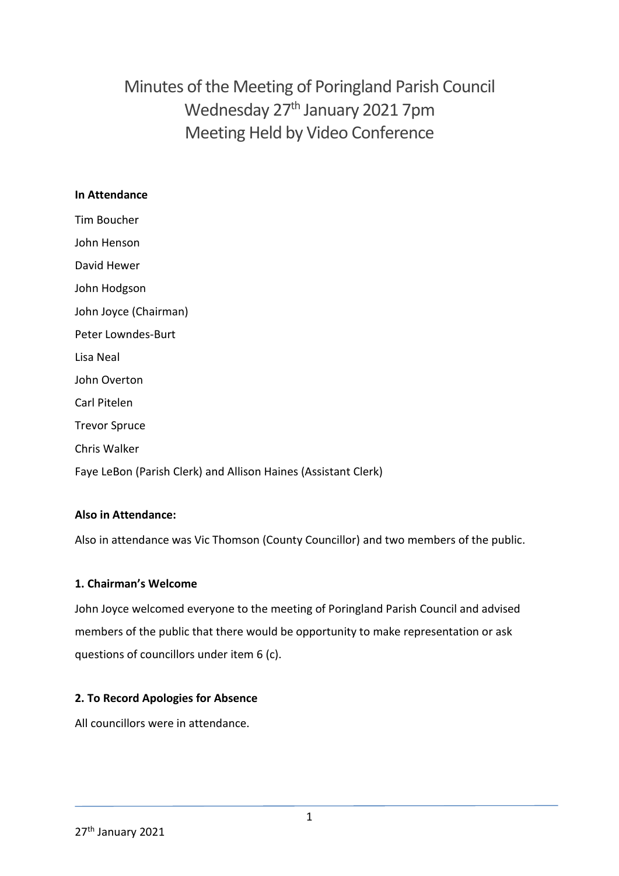Minutes of the Meeting of Poringland Parish Council Wednesday 27<sup>th</sup> January 2021 7pm Meeting Held by Video Conference

#### **In Attendance**

Tim Boucher John Henson David Hewer John Hodgson John Joyce (Chairman) Peter Lowndes-Burt Lisa Neal John Overton Carl Pitelen Trevor Spruce Chris Walker Faye LeBon (Parish Clerk) and Allison Haines (Assistant Clerk)

## **Also in Attendance:**

Also in attendance was Vic Thomson (County Councillor) and two members of the public.

#### **1. Chairman's Welcome**

John Joyce welcomed everyone to the meeting of Poringland Parish Council and advised members of the public that there would be opportunity to make representation or ask questions of councillors under item 6 (c).

#### **2. To Record Apologies for Absence**

All councillors were in attendance.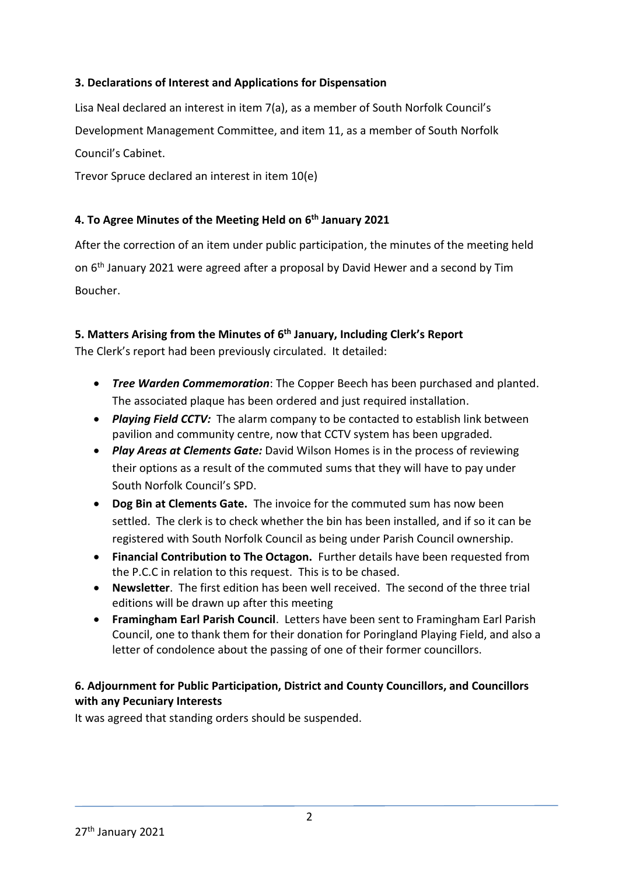## **3. Declarations of Interest and Applications for Dispensation**

Lisa Neal declared an interest in item 7(a), as a member of South Norfolk Council's Development Management Committee, and item 11, as a member of South Norfolk Council's Cabinet.

Trevor Spruce declared an interest in item 10(e)

## **4. To Agree Minutes of the Meeting Held on 6 th January 2021**

After the correction of an item under public participation, the minutes of the meeting held on 6<sup>th</sup> January 2021 were agreed after a proposal by David Hewer and a second by Tim Boucher.

## **5. Matters Arising from the Minutes of 6 th January, Including Clerk's Report**

The Clerk's report had been previously circulated. It detailed:

- *Tree Warden Commemoration*: The Copper Beech has been purchased and planted. The associated plaque has been ordered and just required installation.
- *Playing Field CCTV:* The alarm company to be contacted to establish link between pavilion and community centre, now that CCTV system has been upgraded.
- *Play Areas at Clements Gate:* David Wilson Homes is in the process of reviewing their options as a result of the commuted sums that they will have to pay under South Norfolk Council's SPD.
- **Dog Bin at Clements Gate.** The invoice for the commuted sum has now been settled. The clerk is to check whether the bin has been installed, and if so it can be registered with South Norfolk Council as being under Parish Council ownership.
- **Financial Contribution to The Octagon.** Further details have been requested from the P.C.C in relation to this request. This is to be chased.
- **Newsletter**. The first edition has been well received. The second of the three trial editions will be drawn up after this meeting
- **Framingham Earl Parish Council**. Letters have been sent to Framingham Earl Parish Council, one to thank them for their donation for Poringland Playing Field, and also a letter of condolence about the passing of one of their former councillors.

## **6. Adjournment for Public Participation, District and County Councillors, and Councillors with any Pecuniary Interests**

It was agreed that standing orders should be suspended.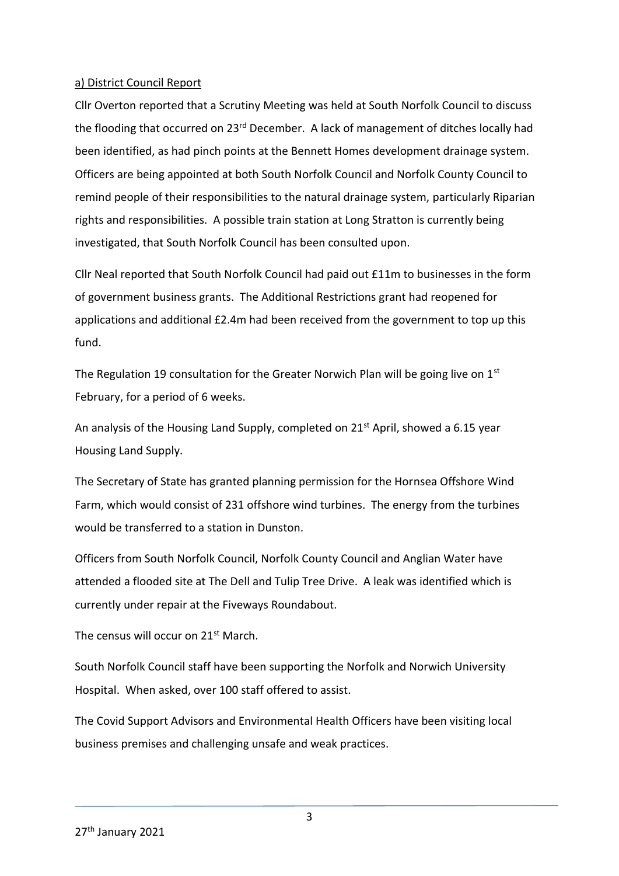#### a) District Council Report

Cllr Overton reported that a Scrutiny Meeting was held at South Norfolk Council to discuss the flooding that occurred on 23<sup>rd</sup> December. A lack of management of ditches locally had been identified, as had pinch points at the Bennett Homes development drainage system. Officers are being appointed at both South Norfolk Council and Norfolk County Council to remind people of their responsibilities to the natural drainage system, particularly Riparian rights and responsibilities. A possible train station at Long Stratton is currently being investigated, that South Norfolk Council has been consulted upon.

Cllr Neal reported that South Norfolk Council had paid out £11m to businesses in the form of government business grants. The Additional Restrictions grant had reopened for applications and additional £2.4m had been received from the government to top up this fund.

The Regulation 19 consultation for the Greater Norwich Plan will be going live on 1<sup>st</sup> February, for a period of 6 weeks.

An analysis of the Housing Land Supply, completed on 21<sup>st</sup> April, showed a 6.15 year Housing Land Supply.

The Secretary of State has granted planning permission for the Hornsea Offshore Wind Farm, which would consist of 231 offshore wind turbines. The energy from the turbines would be transferred to a station in Dunston.

Officers from South Norfolk Council, Norfolk County Council and Anglian Water have attended a flooded site at The Dell and Tulip Tree Drive. A leak was identified which is currently under repair at the Fiveways Roundabout.

The census will occur on 21<sup>st</sup> March.

South Norfolk Council staff have been supporting the Norfolk and Norwich University Hospital. When asked, over 100 staff offered to assist.

The Covid Support Advisors and Environmental Health Officers have been visiting local business premises and challenging unsafe and weak practices.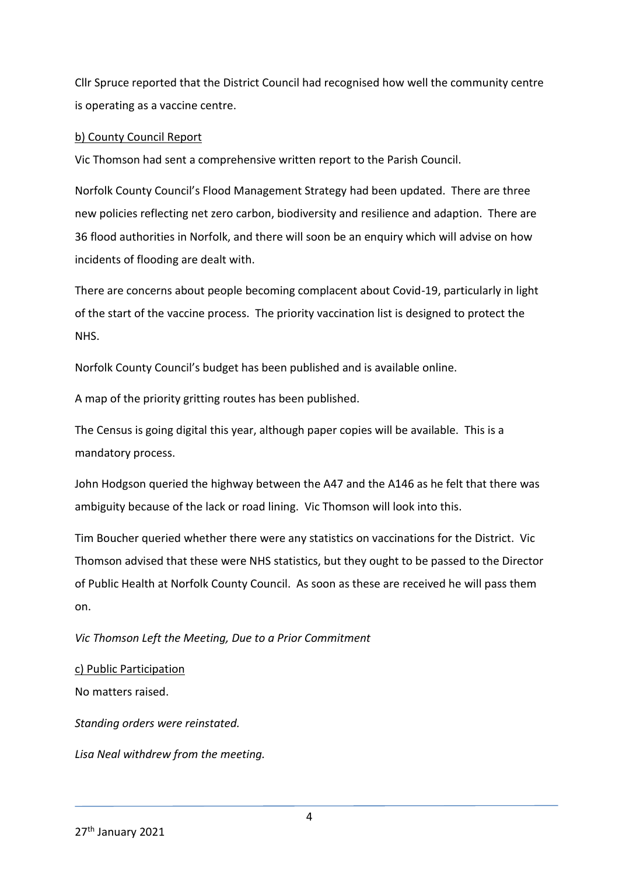Cllr Spruce reported that the District Council had recognised how well the community centre is operating as a vaccine centre.

#### b) County Council Report

Vic Thomson had sent a comprehensive written report to the Parish Council.

Norfolk County Council's Flood Management Strategy had been updated. There are three new policies reflecting net zero carbon, biodiversity and resilience and adaption. There are 36 flood authorities in Norfolk, and there will soon be an enquiry which will advise on how incidents of flooding are dealt with.

There are concerns about people becoming complacent about Covid-19, particularly in light of the start of the vaccine process. The priority vaccination list is designed to protect the NHS.

Norfolk County Council's budget has been published and is available online.

A map of the priority gritting routes has been published.

The Census is going digital this year, although paper copies will be available. This is a mandatory process.

John Hodgson queried the highway between the A47 and the A146 as he felt that there was ambiguity because of the lack or road lining. Vic Thomson will look into this.

Tim Boucher queried whether there were any statistics on vaccinations for the District. Vic Thomson advised that these were NHS statistics, but they ought to be passed to the Director of Public Health at Norfolk County Council. As soon as these are received he will pass them on.

*Vic Thomson Left the Meeting, Due to a Prior Commitment* 

#### c) Public Participation

No matters raised.

*Standing orders were reinstated.* 

*Lisa Neal withdrew from the meeting.*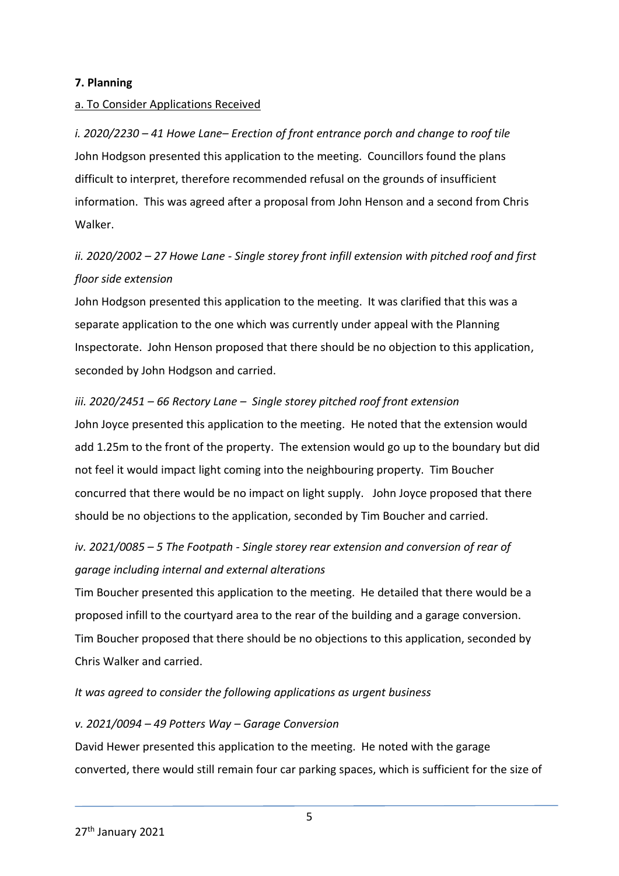#### **7. Planning**

#### a. To Consider Applications Received

*i. 2020/2230 – 41 Howe Lane– Erection of front entrance porch and change to roof tile* John Hodgson presented this application to the meeting. Councillors found the plans difficult to interpret, therefore recommended refusal on the grounds of insufficient information. This was agreed after a proposal from John Henson and a second from Chris Walker.

# *ii. 2020/2002 – 27 Howe Lane - Single storey front infill extension with pitched roof and first floor side extension*

John Hodgson presented this application to the meeting. It was clarified that this was a separate application to the one which was currently under appeal with the Planning Inspectorate. John Henson proposed that there should be no objection to this application, seconded by John Hodgson and carried.

## *iii. 2020/2451 – 66 Rectory Lane – Single storey pitched roof front extension*

John Joyce presented this application to the meeting. He noted that the extension would add 1.25m to the front of the property. The extension would go up to the boundary but did not feel it would impact light coming into the neighbouring property. Tim Boucher concurred that there would be no impact on light supply. John Joyce proposed that there should be no objections to the application, seconded by Tim Boucher and carried.

# *iv. 2021/0085 – 5 The Footpath - Single storey rear extension and conversion of rear of garage including internal and external alterations*

Tim Boucher presented this application to the meeting. He detailed that there would be a proposed infill to the courtyard area to the rear of the building and a garage conversion. Tim Boucher proposed that there should be no objections to this application, seconded by Chris Walker and carried.

#### *It was agreed to consider the following applications as urgent business*

#### *v. 2021/0094 – 49 Potters Way – Garage Conversion*

David Hewer presented this application to the meeting. He noted with the garage converted, there would still remain four car parking spaces, which is sufficient for the size of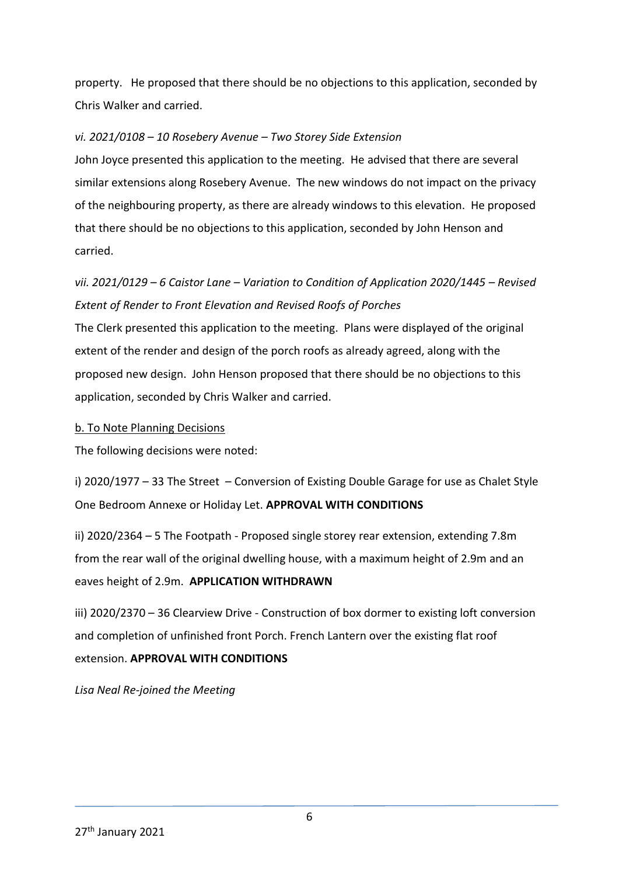property. He proposed that there should be no objections to this application, seconded by Chris Walker and carried.

#### *vi. 2021/0108 – 10 Rosebery Avenue – Two Storey Side Extension*

John Joyce presented this application to the meeting. He advised that there are several similar extensions along Rosebery Avenue. The new windows do not impact on the privacy of the neighbouring property, as there are already windows to this elevation. He proposed that there should be no objections to this application, seconded by John Henson and carried.

# *vii. 2021/0129 – 6 Caistor Lane – Variation to Condition of Application 2020/1445 – Revised Extent of Render to Front Elevation and Revised Roofs of Porches*

The Clerk presented this application to the meeting. Plans were displayed of the original extent of the render and design of the porch roofs as already agreed, along with the proposed new design. John Henson proposed that there should be no objections to this application, seconded by Chris Walker and carried.

#### b. To Note Planning Decisions

The following decisions were noted:

i) 2020/1977 – 33 The Street – Conversion of Existing Double Garage for use as Chalet Style One Bedroom Annexe or Holiday Let. **APPROVAL WITH CONDITIONS**

ii) 2020/2364 – 5 The Footpath - Proposed single storey rear extension, extending 7.8m from the rear wall of the original dwelling house, with a maximum height of 2.9m and an eaves height of 2.9m. **APPLICATION WITHDRAWN**

iii) 2020/2370 – 36 Clearview Drive - Construction of box dormer to existing loft conversion and completion of unfinished front Porch. French Lantern over the existing flat roof extension. **APPROVAL WITH CONDITIONS**

*Lisa Neal Re-joined the Meeting*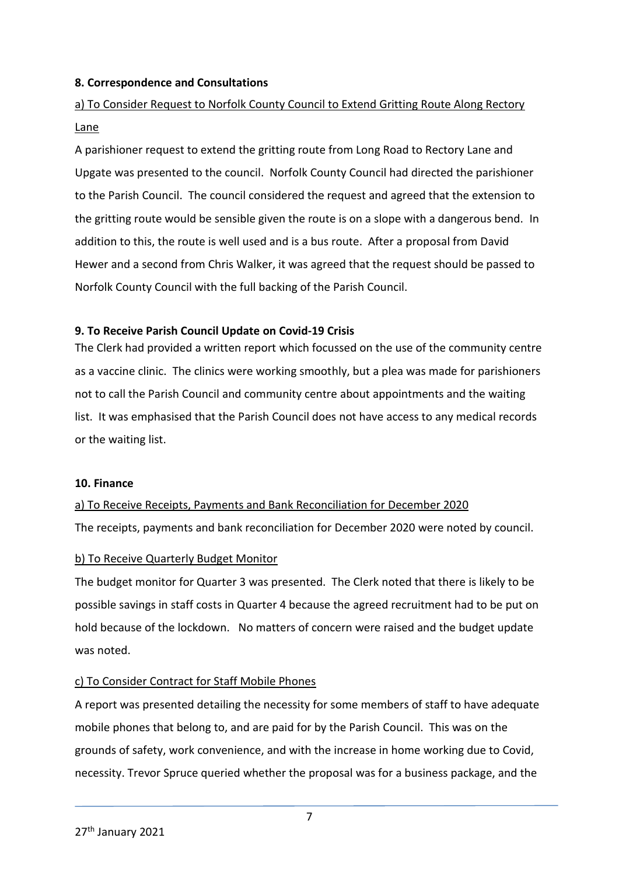#### **8. Correspondence and Consultations**

# a) To Consider Request to Norfolk County Council to Extend Gritting Route Along Rectory Lane

A parishioner request to extend the gritting route from Long Road to Rectory Lane and Upgate was presented to the council. Norfolk County Council had directed the parishioner to the Parish Council. The council considered the request and agreed that the extension to the gritting route would be sensible given the route is on a slope with a dangerous bend. In addition to this, the route is well used and is a bus route. After a proposal from David Hewer and a second from Chris Walker, it was agreed that the request should be passed to Norfolk County Council with the full backing of the Parish Council.

#### **9. To Receive Parish Council Update on Covid-19 Crisis**

The Clerk had provided a written report which focussed on the use of the community centre as a vaccine clinic. The clinics were working smoothly, but a plea was made for parishioners not to call the Parish Council and community centre about appointments and the waiting list. It was emphasised that the Parish Council does not have access to any medical records or the waiting list.

#### **10. Finance**

#### a) To Receive Receipts, Payments and Bank Reconciliation for December 2020

The receipts, payments and bank reconciliation for December 2020 were noted by council.

#### b) To Receive Quarterly Budget Monitor

The budget monitor for Quarter 3 was presented. The Clerk noted that there is likely to be possible savings in staff costs in Quarter 4 because the agreed recruitment had to be put on hold because of the lockdown. No matters of concern were raised and the budget update was noted.

#### c) To Consider Contract for Staff Mobile Phones

A report was presented detailing the necessity for some members of staff to have adequate mobile phones that belong to, and are paid for by the Parish Council. This was on the grounds of safety, work convenience, and with the increase in home working due to Covid, necessity. Trevor Spruce queried whether the proposal was for a business package, and the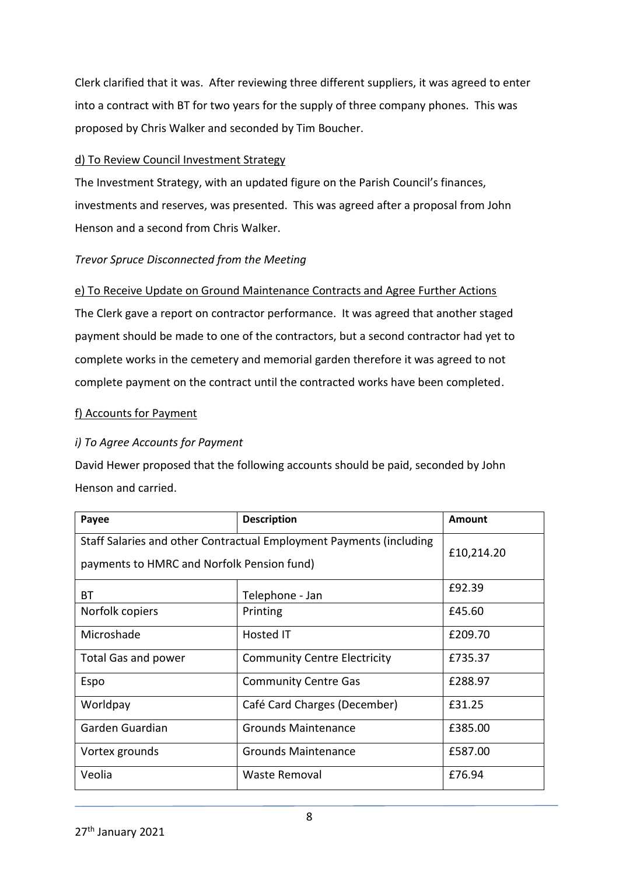Clerk clarified that it was. After reviewing three different suppliers, it was agreed to enter into a contract with BT for two years for the supply of three company phones. This was proposed by Chris Walker and seconded by Tim Boucher.

#### d) To Review Council Investment Strategy

The Investment Strategy, with an updated figure on the Parish Council's finances, investments and reserves, was presented. This was agreed after a proposal from John Henson and a second from Chris Walker.

#### *Trevor Spruce Disconnected from the Meeting*

#### e) To Receive Update on Ground Maintenance Contracts and Agree Further Actions

The Clerk gave a report on contractor performance. It was agreed that another staged payment should be made to one of the contractors, but a second contractor had yet to complete works in the cemetery and memorial garden therefore it was agreed to not complete payment on the contract until the contracted works have been completed.

#### f) Accounts for Payment

#### *i) To Agree Accounts for Payment*

David Hewer proposed that the following accounts should be paid, seconded by John Henson and carried.

| Payee                                                                                                             | <b>Description</b>                  | Amount     |
|-------------------------------------------------------------------------------------------------------------------|-------------------------------------|------------|
| Staff Salaries and other Contractual Employment Payments (including<br>payments to HMRC and Norfolk Pension fund) |                                     | £10,214.20 |
| ВT                                                                                                                | Telephone - Jan                     | £92.39     |
| Norfolk copiers                                                                                                   | Printing                            | £45.60     |
| Microshade                                                                                                        | Hosted IT                           | £209.70    |
| <b>Total Gas and power</b>                                                                                        | <b>Community Centre Electricity</b> | £735.37    |
| Espo                                                                                                              | <b>Community Centre Gas</b>         | £288.97    |
| Worldpay                                                                                                          | Café Card Charges (December)        | £31.25     |
| Garden Guardian                                                                                                   | <b>Grounds Maintenance</b>          | £385.00    |
| Vortex grounds                                                                                                    | <b>Grounds Maintenance</b>          | £587.00    |
| Veolia                                                                                                            | Waste Removal                       | £76.94     |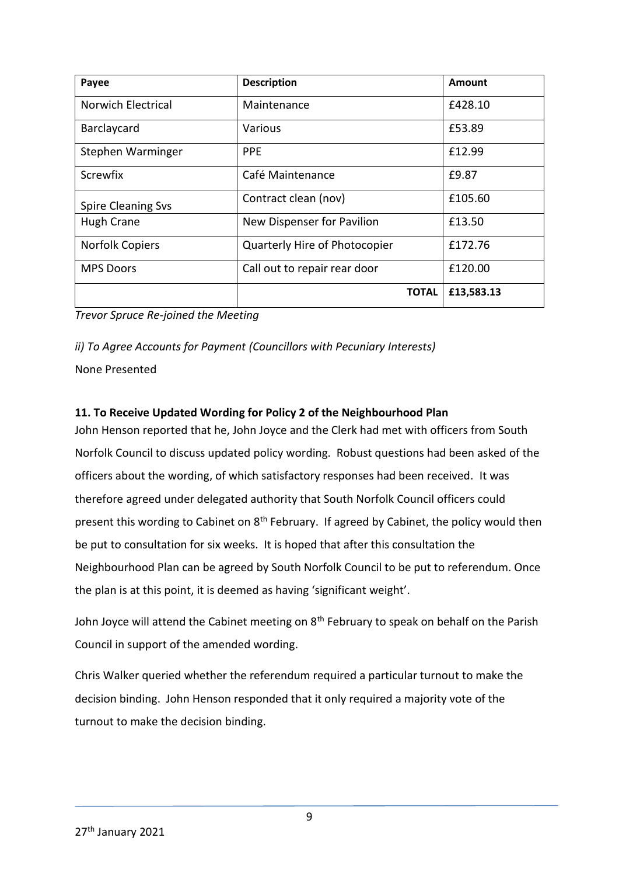| Payee                     | <b>Description</b>            | Amount     |
|---------------------------|-------------------------------|------------|
| <b>Norwich Electrical</b> | Maintenance                   | £428.10    |
| Barclaycard               | Various                       | £53.89     |
| Stephen Warminger         | <b>PPE</b>                    | £12.99     |
| Screwfix                  | Café Maintenance              | £9.87      |
| <b>Spire Cleaning Svs</b> | Contract clean (nov)          | £105.60    |
| Hugh Crane                | New Dispenser for Pavilion    | £13.50     |
| <b>Norfolk Copiers</b>    | Quarterly Hire of Photocopier | £172.76    |
| <b>MPS Doors</b>          | Call out to repair rear door  | £120.00    |
|                           | <b>TOTAL</b>                  | £13,583.13 |

*Trevor Spruce Re-joined the Meeting*

*ii) To Agree Accounts for Payment (Councillors with Pecuniary Interests)*

None Presented

## **11. To Receive Updated Wording for Policy 2 of the Neighbourhood Plan**

John Henson reported that he, John Joyce and the Clerk had met with officers from South Norfolk Council to discuss updated policy wording. Robust questions had been asked of the officers about the wording, of which satisfactory responses had been received. It was therefore agreed under delegated authority that South Norfolk Council officers could present this wording to Cabinet on 8<sup>th</sup> February. If agreed by Cabinet, the policy would then be put to consultation for six weeks. It is hoped that after this consultation the Neighbourhood Plan can be agreed by South Norfolk Council to be put to referendum. Once the plan is at this point, it is deemed as having 'significant weight'.

John Joyce will attend the Cabinet meeting on 8<sup>th</sup> February to speak on behalf on the Parish Council in support of the amended wording.

Chris Walker queried whether the referendum required a particular turnout to make the decision binding. John Henson responded that it only required a majority vote of the turnout to make the decision binding.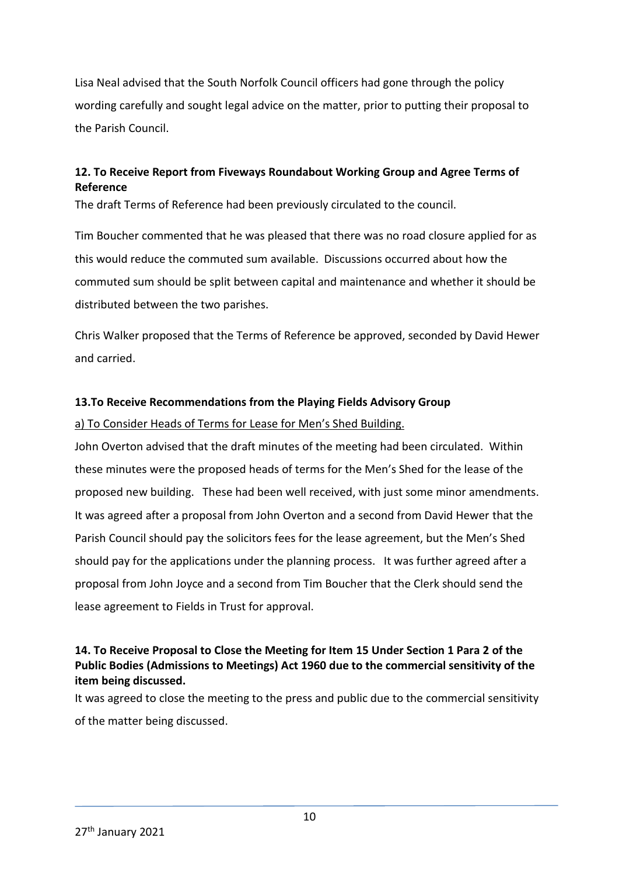Lisa Neal advised that the South Norfolk Council officers had gone through the policy wording carefully and sought legal advice on the matter, prior to putting their proposal to the Parish Council.

# **12. To Receive Report from Fiveways Roundabout Working Group and Agree Terms of Reference**

The draft Terms of Reference had been previously circulated to the council.

Tim Boucher commented that he was pleased that there was no road closure applied for as this would reduce the commuted sum available. Discussions occurred about how the commuted sum should be split between capital and maintenance and whether it should be distributed between the two parishes.

Chris Walker proposed that the Terms of Reference be approved, seconded by David Hewer and carried.

#### **13.To Receive Recommendations from the Playing Fields Advisory Group**

a) To Consider Heads of Terms for Lease for Men's Shed Building.

John Overton advised that the draft minutes of the meeting had been circulated. Within these minutes were the proposed heads of terms for the Men's Shed for the lease of the proposed new building. These had been well received, with just some minor amendments. It was agreed after a proposal from John Overton and a second from David Hewer that the Parish Council should pay the solicitors fees for the lease agreement, but the Men's Shed should pay for the applications under the planning process. It was further agreed after a proposal from John Joyce and a second from Tim Boucher that the Clerk should send the lease agreement to Fields in Trust for approval.

### **14. To Receive Proposal to Close the Meeting for Item 15 Under Section 1 Para 2 of the Public Bodies (Admissions to Meetings) Act 1960 due to the commercial sensitivity of the item being discussed.**

It was agreed to close the meeting to the press and public due to the commercial sensitivity of the matter being discussed.